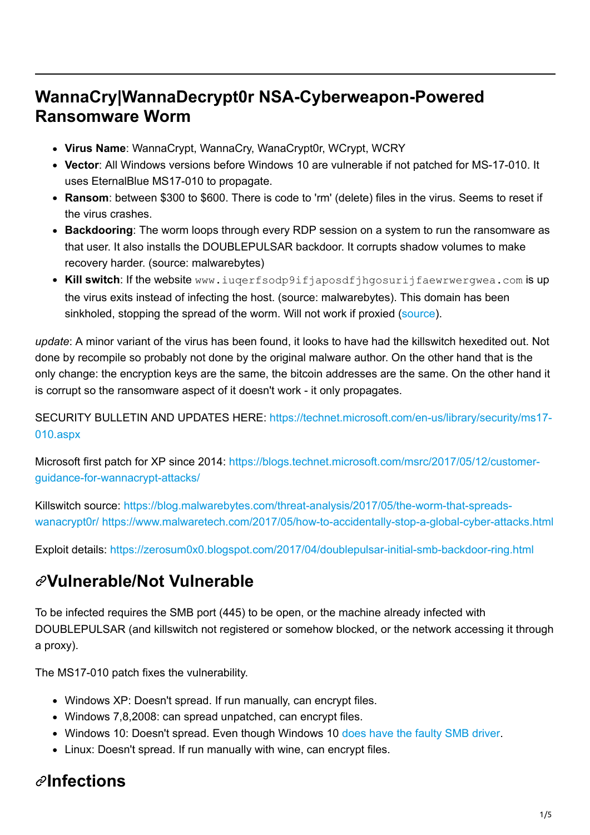## **WannaCry|WannaDecrypt0r NSA-Cyberweapon-Powered Ransomware Worm**

- **Virus Name**: WannaCrypt, WannaCry, WanaCrypt0r, WCrypt, WCRY
- **Vector**: All Windows versions before Windows 10 are vulnerable if not patched for MS-17-010. It uses EternalBlue MS17-010 to propagate.
- **Ransom**: between \$300 to \$600. There is code to 'rm' (delete) files in the virus. Seems to reset if the virus crashes.
- **Backdooring**: The worm loops through every RDP session on a system to run the ransomware as that user. It also installs the DOUBLEPULSAR backdoor. It corrupts shadow volumes to make recovery harder. (source: malwarebytes)
- **Kill switch**: If the website www.iuqerfsodp9ifjaposdfjhgosurijfaewrwergwea.com is up the virus exits instead of infecting the host. (source: malwarebytes). This domain has been sinkholed, stopping the spread of the worm. Will not work if proxied ([source\)](https://blog.didierstevens.com/2017/05/13/quickpost-wcry-killswitch-check-is-not-proxy-aware/).

*update*: A minor variant of the virus has been found, it looks to have had the killswitch hexedited out. Not done by recompile so probably not done by the original malware author. On the other hand that is the only change: the encryption keys are the same, the bitcoin addresses are the same. On the other hand it is corrupt so the ransomware aspect of it doesn't work - it only propagates.

[SECURITY BULLETIN AND UPDATES HERE: https://technet.microsoft.com/en-us/library/security/ms17-](https://technet.microsoft.com/en-us/library/security/ms17-010.aspx) 010.aspx

[Microsoft first patch for XP since 2014: https://blogs.technet.microsoft.com/msrc/2017/05/12/customer](https://blogs.technet.microsoft.com/msrc/2017/05/12/customer-guidance-for-wannacrypt-attacks/)guidance-for-wannacrypt-attacks/

[Killswitch source: https://blog.malwarebytes.com/threat-analysis/2017/05/the-worm-that-spreads](https://blog.malwarebytes.com/threat-analysis/2017/05/the-worm-that-spreads-wanacrypt0r/)wanacrypt0r/ <https://www.malwaretech.com/2017/05/how-to-accidentally-stop-a-global-cyber-attacks.html>

Exploit details:<https://zerosum0x0.blogspot.com/2017/04/doublepulsar-initial-smb-backdoor-ring.html>

## **Vulnerable/Not Vulnerable**

To be infected requires the SMB port (445) to be open, or the machine already infected with DOUBLEPULSAR (and killswitch not registered or somehow blocked, or the network accessing it through a proxy).

The MS17-010 patch fixes the vulnerability.

- Windows XP: Doesn't spread. If run manually, can encrypt files.
- Windows 7,8,2008: can spread unpatched, can encrypt files.
- Windows 10: Doesn't spread. Even though Windows 10 [does have the faulty SMB driver.](http://www.infoworld.com/article/3196825/microsoft-windows/how-to-make-sure-your-windows-pc-wont-get-hit-by-ransomware-like-wannacrypt.html)
- Linux: Doesn't spread. If run manually with wine, can encrypt files.

## **Infections**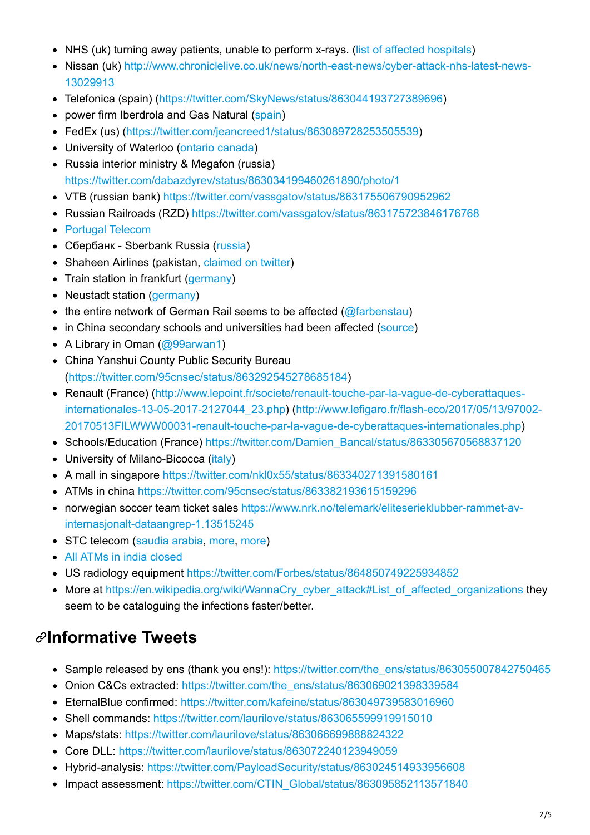- NHS (uk) turning away patients, unable to perform x-rays. [\(list of affected hospitals](http://news.sky.com/story/nhs-cyberattack-full-list-of-organisations-affected-so-far-10874493))
- [Nissan \(uk\) http://www.chroniclelive.co.uk/news/north-east-news/cyber-attack-nhs-latest-news-](http://www.chroniclelive.co.uk/news/north-east-news/cyber-attack-nhs-latest-news-13029913)13029913
- Telefonica (spain) ([https://twitter.com/SkyNews/status/863044193727389696\)](https://twitter.com/SkyNews/status/863044193727389696)
- power firm Iberdrola and Gas Natural [\(spain](http://www.bbc.co.uk/news/technology-39901382))
- FedEx (us) (<https://twitter.com/jeancreed1/status/863089728253505539>)
- University of Waterloo ([ontario canada\)](https://twitter.com/amtinits)
- Russia interior ministry & Megafon (russia) <https://twitter.com/dabazdyrev/status/863034199460261890/photo/1>
- VTB (russian bank) <https://twitter.com/vassgatov/status/863175506790952962>
- Russian Railroads (RZD) <https://twitter.com/vassgatov/status/863175723846176768>
- [Portugal Telecom](http://imgur.com/a/rR3b9)
- Сбербанк Sberbank Russia [\(russia](https://twitter.com/discojournalist/status/863162464304865280))
- Shaheen Airlines (pakistan, [claimed on twitter](https://twitter.com/Beyhooda/status/863161471987068930))
- Train station in frankfurt [\(germany\)](https://twitter.com/Nick_Lange_/status/863132237822394369)
- Neustadt station ([germany\)](https://twitter.com/MedecineLibre/status/863139139138531328)
- $\bullet$  the entire network of German Rail seems to be affected ( $@$ farbenstau)
- in China secondary schools and universities had been affected [\(source](http://english.alarabiya.net/en/News/world/2017/05/13/Russia-s-interior-ministry-says-computers-hit-by-virus-attack-.html))
- A Library in Oman ([@99arwan1\)](https://twitter.com/99arwan1/status/863325279653171200)
- China Yanshui County Public Security Bureau [\(https://twitter.com/95cnsec/status/863292545278685184](https://twitter.com/95cnsec/status/863292545278685184))
- [Renault \(France\) \(http://www.lepoint.fr/societe/renault-touche-par-la-vague-de-cyberattaques](http://www.lepoint.fr/societe/renault-touche-par-la-vague-de-cyberattaques-internationales-13-05-2017-2127044_23.php)[internationales-13-05-2017-2127044\\_23.php\) \(http://www.lefigaro.fr/flash-eco/2017/05/13/97002-](http://www.lefigaro.fr/flash-eco/2017/05/13/97002-20170513FILWWW00031-renault-touche-par-la-vague-de-cyberattaques-internationales.php) 20170513FILWWW00031-renault-touche-par-la-vague-de-cyberattaques-internationales.php)
- Schools/Education (France) [https://twitter.com/Damien\\_Bancal/status/863305670568837120](https://twitter.com/Damien_Bancal/status/863305670568837120)
- University of Milano-Bicocca ([italy\)](http://milano.repubblica.it/cronaca/2017/05/12/news/milano_virus_ransomware_universita_bicocca-165302056/?ref=drnweb.repubblica.scroll-3)
- A mall in singapore<https://twitter.com/nkl0x55/status/863340271391580161>
- ATMs in china<https://twitter.com/95cnsec/status/863382193615159296>
- [norwegian soccer team ticket sales https://www.nrk.no/telemark/eliteserieklubber-rammet-av](https://www.nrk.no/telemark/eliteserieklubber-rammet-av-internasjonalt-dataangrep-1.13515245)internasjonalt-dataangrep-1.13515245
- STC telecom ([saudia arabia,](https://twitter.com/iPhone_Supp/status/863735059819442177) [more](https://twitter.com/mhooh300/status/863734116142985216), [more\)](https://twitter.com/bynfck/status/863734011188854784)
- [All ATMs in india closed](http://newsable.asianetnews.tv/india/over-2-lakh-atms-in-the-country-to-remain-closed-to-deal-with-cyberattack)
- US radiology equipment<https://twitter.com/Forbes/status/864850749225934852>
- More at [https://en.wikipedia.org/wiki/WannaCry\\_cyber\\_attack#List\\_of\\_affected\\_organizations](https://en.wikipedia.org/wiki/WannaCry_cyber_attack#List_of_affected_organizations) they seem to be cataloguing the infections faster/better.

#### **Informative Tweets**

- Sample released by ens (thank you ens!): [https://twitter.com/the\\_ens/status/863055007842750465](https://twitter.com/the_ens/status/863055007842750465)
- Onion C&Cs extracted: [https://twitter.com/the\\_ens/status/863069021398339584](https://twitter.com/the_ens/status/863069021398339584)
- EternalBlue confirmed:<https://twitter.com/kafeine/status/863049739583016960>
- Shell commands: <https://twitter.com/laurilove/status/863065599919915010>
- Maps/stats:<https://twitter.com/laurilove/status/863066699888824322>
- Core DLL: <https://twitter.com/laurilove/status/863072240123949059>
- Hybrid-analysis: <https://twitter.com/PayloadSecurity/status/863024514933956608>
- Impact assessment: [https://twitter.com/CTIN\\_Global/status/863095852113571840](https://twitter.com/CTIN_Global/status/863095852113571840)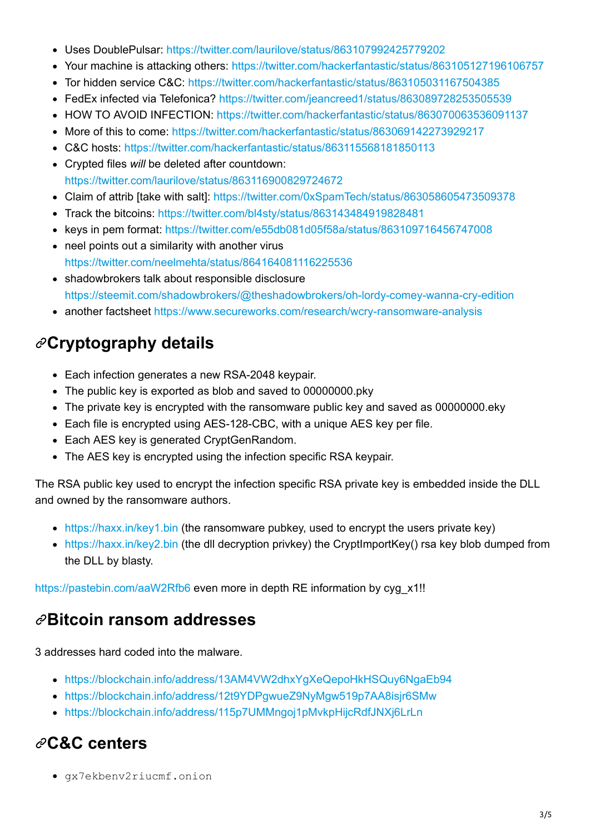- Uses DoublePulsar: <https://twitter.com/laurilove/status/863107992425779202>
- Your machine is attacking others: <https://twitter.com/hackerfantastic/status/863105127196106757>
- Tor hidden service C&C: <https://twitter.com/hackerfantastic/status/863105031167504385>
- FedEx infected via Telefonica? <https://twitter.com/jeancreed1/status/863089728253505539>
- HOW TO AVOID INFECTION:<https://twitter.com/hackerfantastic/status/863070063536091137>
- More of this to come: <https://twitter.com/hackerfantastic/status/863069142273929217>
- C&C hosts: <https://twitter.com/hackerfantastic/status/863115568181850113>
- Crypted files *will* be deleted after countdown: <https://twitter.com/laurilove/status/863116900829724672>
- Claim of attrib [take with salt]: <https://twitter.com/0xSpamTech/status/863058605473509378>
- Track the bitcoins:<https://twitter.com/bl4sty/status/863143484919828481>
- **keys in pem format: <https://twitter.com/e55db081d05f58a/status/863109716456747008>**
- neel points out a similarity with another virus <https://twitter.com/neelmehta/status/864164081116225536>
- shadowbrokers talk about responsible disclosure <https://steemit.com/shadowbrokers/@theshadowbrokers/oh-lordy-comey-wanna-cry-edition>
- another factsheet <https://www.secureworks.com/research/wcry-ransomware-analysis>

# **Cryptography details**

- Each infection generates a new RSA-2048 keypair.
- The public key is exported as blob and saved to 00000000.pky
- The private key is encrypted with the ransomware public key and saved as 00000000.eky
- Each file is encrypted using AES-128-CBC, with a unique AES key per file.
- Each AES key is generated CryptGenRandom.
- The AES key is encrypted using the infection specific RSA keypair.

The RSA public key used to encrypt the infection specific RSA private key is embedded inside the DLL and owned by the ransomware authors.

- <https://haxx.in/key1.bin>(the ransomware pubkey, used to encrypt the users private key)
- <https://haxx.in/key2.bin>(the dll decryption privkey) the CryptImportKey() rsa key blob dumped from the DLL by blasty.

<https://pastebin.com/aaW2Rfb6> even more in depth RE information by cyg\_x1!!

#### **Bitcoin ransom addresses**

3 addresses hard coded into the malware.

- <https://blockchain.info/address/13AM4VW2dhxYgXeQepoHkHSQuy6NgaEb94>
- https://blockchain.info/address/12t9YDPgwueZ9NyMgw519p7AA8isir6SMw
- <https://blockchain.info/address/115p7UMMngoj1pMvkpHijcRdfJNXj6LrLn>

## **C&C centers**

gx7ekbenv2riucmf.onion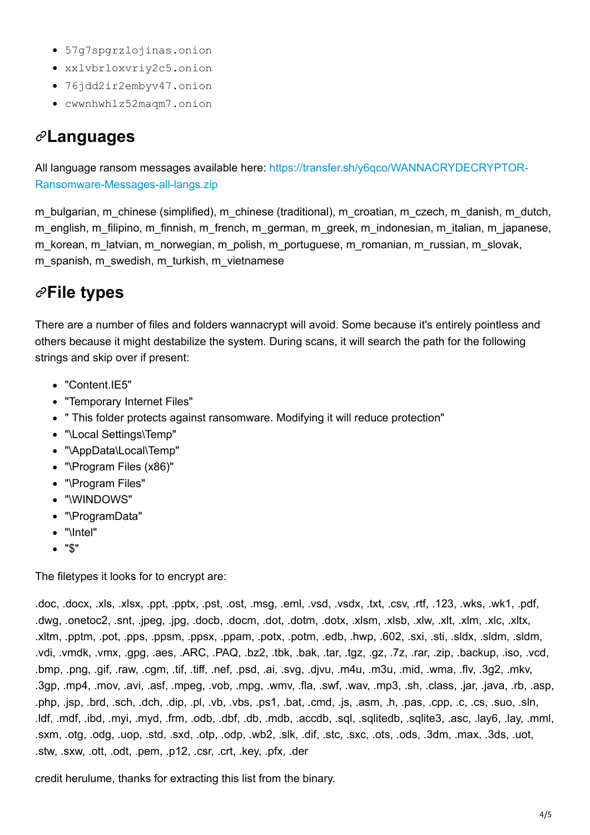- 57g7spgrzlojinas.onion
- xxlvbrloxvriy2c5.onion
- 76jdd2ir2embyv47.onion
- cwwnhwhlz52maqm7.onion

## **Languages**

[All language ransom messages available here: https://transfer.sh/y6qco/WANNACRYDECRYPTOR-](https://transfer.sh/y6qco/WANNACRYDECRYPTOR-Ransomware-Messages-all-langs.zip)Ransomware-Messages-all-langs.zip

m\_bulgarian, m\_chinese (simplified), m\_chinese (traditional), m\_croatian, m\_czech, m\_danish, m\_dutch, m\_english, m\_filipino, m\_finnish, m\_french, m\_german, m\_greek, m\_indonesian, m\_italian, m\_japanese, m\_korean, m\_latvian, m\_norwegian, m\_polish, m\_portuguese, m\_romanian, m\_russian, m\_slovak, m\_spanish, m\_swedish, m\_turkish, m\_vietnamese

## **File types**

There are a number of files and folders wannacrypt will avoid. Some because it's entirely pointless and others because it might destabilize the system. During scans, it will search the path for the following strings and skip over if present:

- "Content.IE5"
- "Temporary Internet Files"
- " This folder protects against ransomware. Modifying it will reduce protection"
- "\Local Settings\Temp"
- "\AppData\Local\Temp"
- "\Program Files (x86)"
- "\Program Files"
- "\WINDOWS"
- "\ProgramData"
- "\Intel"
- "\$"

The filetypes it looks for to encrypt are:

.doc, .docx, .xls, .xlsx, .ppt, .pptx, .pst, .ost, .msg, .eml, .vsd, .vsdx, .txt, .csv, .rtf, .123, .wks, .wk1, .pdf, .dwg, .onetoc2, .snt, .jpeg, .jpg, .docb, .docm, .dot, .dotm, .dotx, .xlsm, .xlsb, .xlw, .xlt, .xlm, .xlc, .xltx, .xltm, .pptm, .pot, .pps, .ppsm, .ppsx, .ppam, .potx, .potm, .edb, .hwp, .602, .sxi, .sti, .sldx, .sldm, .sldm, .vdi, .vmdk, .vmx, .gpg, .aes, .ARC, .PAQ, .bz2, .tbk, .bak, .tar, .tgz, .gz, .7z, .rar, .zip, .backup, .iso, .vcd, .bmp, .png, .gif, .raw, .cgm, .tif, .tiff, .nef, .psd, .ai, .svg, .djvu, .m4u, .m3u, .mid, .wma, .flv, .3g2, .mkv, .3gp, .mp4, .mov, .avi, .asf, .mpeg, .vob, .mpg, .wmv, .fla, .swf, .wav, .mp3, .sh, .class, .jar, .java, .rb, .asp, .php, .jsp, .brd, .sch, .dch, .dip, .pl, .vb, .vbs, .ps1, .bat, .cmd, .js, .asm, .h, .pas, .cpp, .c, .cs, .suo, .sln, .ldf, .mdf, .ibd, .myi, .myd, .frm, .odb, .dbf, .db, .mdb, .accdb, .sql, .sqlitedb, .sqlite3, .asc, .lay6, .lay, .mml, .sxm, .otg, .odg, .uop, .std, .sxd, .otp, .odp, .wb2, .slk, .dif, .stc, .sxc, .ots, .ods, .3dm, .max, .3ds, .uot, .stw, .sxw, .ott, .odt, .pem, .p12, .csr, .crt, .key, .pfx, .der

credit herulume, thanks for extracting this list from the binary.